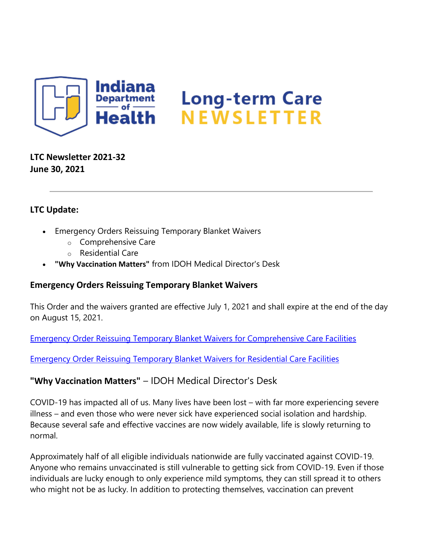

## **LTC Newsletter 2021-32 June 30, 2021**

## **LTC Update:**

- Emergency Orders Reissuing Temporary Blanket Waivers
	- o Comprehensive Care
	- o Residential Care
- **"Why Vaccination Matters"** from IDOH Medical Director's Desk

## **Emergency Orders Reissuing Temporary Blanket Waivers**

This Order and the waivers granted are effective July 1, 2021 and shall expire at the end of the day on August 15, 2021.

[Emergency Order Reissuing Temporary Blanket Waivers for Comprehensive Care Facilities](https://content.govdelivery.com/attachments/INSDH/2021/06/30/file_attachments/1867793/Waiver%20-%20Post-PHE%20Reissuance%20of%20EOs%20for%20CCFs%2020210625.pdf)

[Emergency Order Reissuing Temporary Blanket Waivers for Residential Care Facilities](https://content.govdelivery.com/attachments/INSDH/2021/06/30/file_attachments/1867794/Waiver%20-%20Post-PHE%20Reissuance%20of%20EOs%20for%20RCFs%2020210625.pdf)

## **"Why Vaccination Matters"** – IDOH Medical Director's Desk

COVID-19 has impacted all of us. Many lives have been lost – with far more experiencing severe illness – and even those who were never sick have experienced social isolation and hardship. Because several safe and effective vaccines are now widely available, life is slowly returning to normal.

Approximately half of all eligible individuals nationwide are fully vaccinated against COVID-19. Anyone who remains unvaccinated is still vulnerable to getting sick from COVID-19. Even if those individuals are lucky enough to only experience mild symptoms, they can still spread it to others who might not be as lucky. In addition to protecting themselves, vaccination can prevent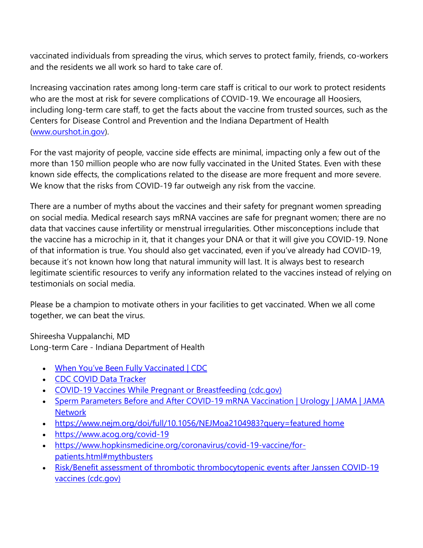vaccinated individuals from spreading the virus, which serves to protect family, friends, co-workers and the residents we all work so hard to take care of.

Increasing vaccination rates among long-term care staff is critical to our work to protect residents who are the most at risk for severe complications of COVID-19. We encourage all Hoosiers, including long-term care staff, to get the facts about the vaccine from trusted sources, such as the Centers for Disease Control and Prevention and the Indiana Department of Health [\(www.ourshot.in.gov\)](https://www.coronavirus.in.gov/vaccine/).

For the vast majority of people, vaccine side effects are minimal, impacting only a few out of the more than 150 million people who are now fully vaccinated in the United States. Even with these known side effects, the complications related to the disease are more frequent and more severe. We know that the risks from COVID-19 far outweigh any risk from the vaccine.

There are a number of myths about the vaccines and their safety for pregnant women spreading on social media. Medical research says mRNA vaccines are safe for pregnant women; there are no data that vaccines cause infertility or menstrual irregularities. Other misconceptions include that the vaccine has a microchip in it, that it changes your DNA or that it will give you COVID-19. None of that information is true. You should also get vaccinated, even if you've already had COVID-19, because it's not known how long that natural immunity will last. It is always best to research legitimate scientific resources to verify any information related to the vaccines instead of relying on testimonials on social media.

Please be a champion to motivate others in your facilities to get vaccinated. When we all come together, we can beat the virus.

Shireesha Vuppalanchi, MD Long-term Care - Indiana Department of Health

- [When You've Been Fully Vaccinated | CDC](https://www.cdc.gov/coronavirus/2019-ncov/vaccines/fully-vaccinated.html)
- [CDC COVID Data Tracker](https://covid.cdc.gov/covid-data-tracker/#vaccinations)
- [COVID-19 Vaccines While Pregnant or Breastfeeding \(cdc.gov\)](https://www.cdc.gov/coronavirus/2019-ncov/vaccines/recommendations/pregnancy.html)
- Sperm Parameters Before and After COVID-19 mRNA Vaccination | Urology | JAMA | JAMA **[Network](https://jamanetwork.com/journals/jama/fullarticle/2781360?utm_source=silverchair&utm_campaign=jama_network&utm_content=covid_weekly_highlights&utm_medium=email)**
- [https://www.nejm.org/doi/full/10.1056/NEJMoa2104983?query=featured home](https://www.nejm.org/doi/full/10.1056/NEJMoa2104983?query=featured%20home)
- [https://www.acog.org/covid-19](https://protect2.fireeye.com/v1/url?k=6a2d3c77-35b6057f-6a297577-86e696e30194-536fe53c6576e1d4&q=1&e=a636d2e5-b6d0-45c5-81cf-54bb2fe58ef3&u=https%3A%2F%2Fwww.acog.org%2Fcovid-19)
- [https://www.hopkinsmedicine.org/coronavirus/covid-19-vaccine/for](https://www.hopkinsmedicine.org/coronavirus/covid-19-vaccine/for-patients.html#mythbusters)[patients.html#mythbusters](https://www.hopkinsmedicine.org/coronavirus/covid-19-vaccine/for-patients.html#mythbusters)
- Risk/Benefit assessment of thrombotic thrombocytopenic events after Janssen COVID-19 vaccines [\(cdc.gov\)](https://www.cdc.gov/vaccines/acip/meetings/downloads/slides-2021-04-23/06-COVID-Oliver-508.pdf)